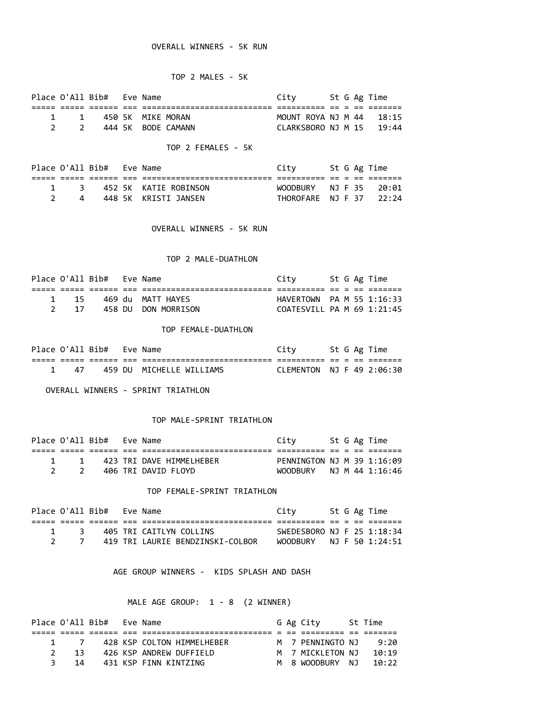## OVERALL WINNERS - 5K RUN

# TOP 2 MALES - 5K

|       | Place O'All Bib# Eve Name |                    | City                           |  | St G Ag Time |
|-------|---------------------------|--------------------|--------------------------------|--|--------------|
|       |                           |                    |                                |  |              |
| 1 1   |                           | 450 SK MIKE MORAN  | MOUNT ROYA NJ M 44 18:15       |  |              |
| - 2 - |                           | 444 SK BODE CAMANN | $CLARKSBORO$ NJ M $15$ $19:44$ |  |              |

# TOP 2 FEMALES - 5K

|  |  | City                                                                           |  |                                                                            |
|--|--|--------------------------------------------------------------------------------|--|----------------------------------------------------------------------------|
|  |  |                                                                                |  |                                                                            |
|  |  |                                                                                |  |                                                                            |
|  |  |                                                                                |  |                                                                            |
|  |  | Place O'All Bib# Eve Name<br>1 3 452 5K KATIE ROBINSON<br>448 SK KRISTI JANSEN |  | St G Ag Time<br>$WOODRIIRY$ $NJ$ $F$ 35 $20:01$<br>THOROFARE NJ F 37 22:24 |

OVERALL WINNERS - 5K RUN

### TOP 2 MALE-DUATHLON

|              | Place O'All Bib# Eve Name |                     | Citv                       |  | St G Ag Time |
|--------------|---------------------------|---------------------|----------------------------|--|--------------|
|              |                           |                     |                            |  |              |
| $1 \quad 15$ |                           | 469 du MATT HAYES   | HAVERTOWN PA M 55 1:16:33  |  |              |
| 2 17         |                           | 458 DU DON MORRISON | COATESVILL PA M 69 1:21:45 |  |              |

#### TOP FEMALE-DUATHLON

|    | Place O'All Bib# Eve Name |                          |                           |  | St G Ag Time |
|----|---------------------------|--------------------------|---------------------------|--|--------------|
|    |                           |                          |                           |  |              |
| 47 |                           | 459 DU MICHELLE WILLIAMS | CLEMENTON NJ F 49 2:06:30 |  |              |

OVERALL WINNERS - SPRINT TRIATHLON

## TOP MALE-SPRINT TRIATHLON

|  | Place O'All Bib# Eve Name |                          | Citv                       |  | St G Ag Time |
|--|---------------------------|--------------------------|----------------------------|--|--------------|
|  |                           |                          |                            |  |              |
|  |                           | 423 TRI DAVE HIMMELHEBER | PENNINGTON NJ M 39 1:16:09 |  |              |
|  |                           | 406 TRI DAVID FLOYD      | WOODBURY NJ M 44 1:16:46   |  |              |

## TOP FEMALE-SPRINT TRIATHLON

|                               | Place O'All Bib# Eve Name |                                  | City                        |  | St G Ag Time |
|-------------------------------|---------------------------|----------------------------------|-----------------------------|--|--------------|
|                               |                           |                                  |                             |  |              |
| $\overline{1}$ $\overline{3}$ |                           | 405 TRI CAITLYN COLLINS          | SWEDESBORO NJ F 25 1:18:34  |  |              |
|                               |                           | 419 TRI LAURIE BENDZINSKI-COLBOR | $WOODRIIRY$ NJ F 50 1:24:51 |  |              |

AGE GROUP WINNERS - KIDS SPLASH AND DASH

# MALE AGE GROUP: 1 - 8 (2 WINNER)

| Place O'All Bib# |     |  | Fve Name                   |  | G Ag City        | St Time |
|------------------|-----|--|----------------------------|--|------------------|---------|
|                  |     |  |                            |  |                  |         |
|                  | 1 7 |  | 428 KSP COLTON HTMMFLHFBFR |  | M 7 PFNNINGTO NJ | 9:20    |
|                  | -13 |  | 426 KSP ANDREW DUFFIELD    |  | M 7 MTCKIFTON NJ | 10:19   |
| 3                | 14  |  | 431 KSP FINN KINTZING      |  | M 8 WOODBURY NJ  | 10:22   |